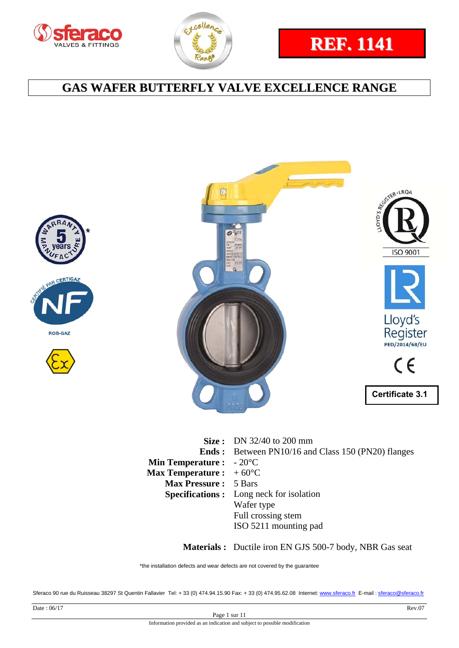



# **REF. 1141**

## **GAS WAFER BUTTERFLY VALVE EXCELLENCE RANGE**







|                                          | <b>Size:</b> DN 32/40 to 200 mm                           |
|------------------------------------------|-----------------------------------------------------------|
|                                          | <b>Ends:</b> Between PN10/16 and Class 150 (PN20) flanges |
| <b>Min Temperature :</b> $-20^{\circ}$ C |                                                           |
| <b>Max Temperature :</b> $+60^{\circ}$ C |                                                           |
| <b>Max Pressure: 5 Bars</b>              |                                                           |
|                                          | <b>Specifications:</b> Long neck for isolation            |
|                                          | Wafer type                                                |
|                                          | Full crossing stem                                        |
|                                          | ISO 5211 mounting pad                                     |

 **Materials :** Ductile iron EN GJS 500-7 body, NBR Gas seat

\*the installation defects and wear defects are not covered by the guarantee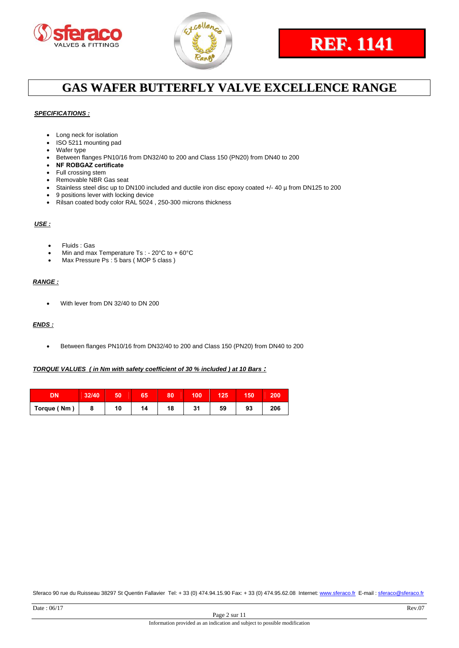



# **REF. 1141**

## **GAS WAFER BUTTERFLY VALVE EXCELLENCE RANGE**

#### *SPECIFICATIONS :*

- Long neck for isolation
- ISO 5211 mounting pad
- Wafer type
- Between flanges PN10/16 from DN32/40 to 200 and Class 150 (PN20) from DN40 to 200
- **NF ROBGAZ certificate**
- Full crossing stem
- Removable NBR Gas seat
- Stainless steel disc up to DN100 included and ductile iron disc epoxy coated +/- 40 µ from DN125 to 200
- 9 positions lever with locking device
- Rilsan coated body color RAL 5024 , 250-300 microns thickness

#### *USE :*

- Fluids : Gas
- Min and max Temperature Ts : 20°C to + 60°C
- Max Pressure Ps : 5 bars (MOP 5 class)

#### *RANGE :*

With lever from DN 32/40 to DN 200

#### *ENDS :*

Between flanges PN10/16 from DN32/40 to 200 and Class 150 (PN20) from DN40 to 200

#### *TORQUE VALUES ( in Nm with safety coefficient of 30 % included ) at 10 Bars :*

| <b>DN</b>   | 32/40 |    |    | 80 | 100 | 125 | 150 | 200 |
|-------------|-------|----|----|----|-----|-----|-----|-----|
| Torque (Nm) |       | 10 | 14 | 18 | 31  | 59  | 93  | 206 |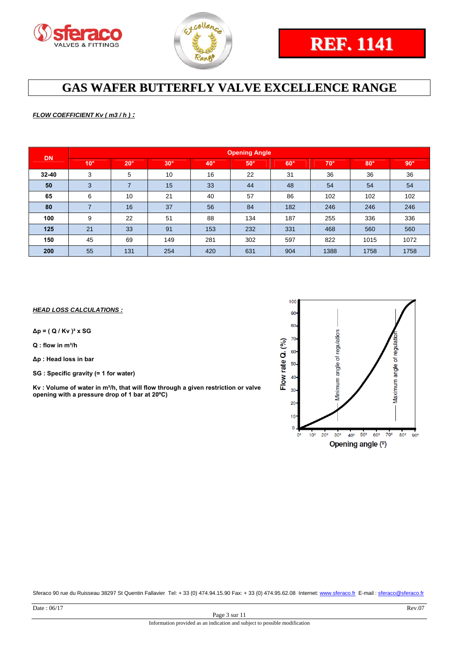



#### *FLOW COEFFICIENT Kv ( m3 / h ) :*

| <b>DN</b> | <b>Opening Angle</b> |                |            |              |            |            |              |            |            |  |  |
|-----------|----------------------|----------------|------------|--------------|------------|------------|--------------|------------|------------|--|--|
|           | $10^{\circ}$         | $20^\circ$     | $30^\circ$ | $40^{\circ}$ | $50^\circ$ | $60^\circ$ | $70^{\circ}$ | $80^\circ$ | $90^\circ$ |  |  |
| $32 - 40$ | 3                    | 5              | 10         | 16           | 22         | 31         | 36           | 36         | 36         |  |  |
| 50        | 3                    | $\overline{ }$ | 15         | 33           | 44         | 48         | 54           | 54         | 54         |  |  |
| 65        | 6                    | 10             | 21         | 40           | 57         | 86         | 102          | 102        | 102        |  |  |
| 80        |                      | 16             | 37         | 56           | 84         | 182        | 246          | 246        | 246        |  |  |
| 100       | 9                    | 22             | 51         | 88           | 134        | 187        | 255          | 336        | 336        |  |  |
| 125       | 21                   | 33             | 91         | 153          | 232        | 331        | 468          | 560        | 560        |  |  |
| 150       | 45                   | 69             | 149        | 281          | 302        | 597        | 822          | 1015       | 1072       |  |  |
| 200       | 55                   | 131            | 254        | 420          | 631        | 904        | 1388         | 1758       | 1758       |  |  |

#### *HEAD LOSS CALCULATIONS :*

**∆p = ( Q / Kv )² x SG** 

**Q : flow in m³/h** 

**∆p : Head loss in bar** 

**SG : Specific gravity (= 1 for water)** 

**Kv : Volume of water in m³/h, that will flow through a given restriction or valve opening with a pressure drop of 1 bar at 20ºC)** 

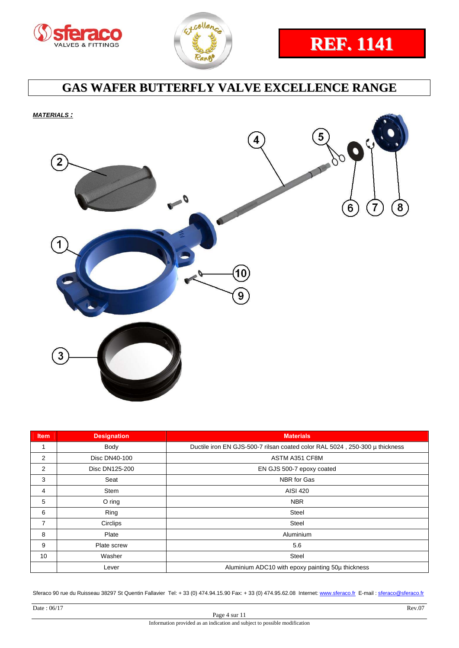





*MATERIALS :* 



| <b>Item</b>    | <b>Designation</b>                          | <b>Materials</b>                                                            |  |  |  |  |
|----------------|---------------------------------------------|-----------------------------------------------------------------------------|--|--|--|--|
| 1              | Body                                        | Ductile iron EN GJS-500-7 rilsan coated color RAL 5024, 250-300 µ thickness |  |  |  |  |
| 2              | Disc DN40-100                               | ASTM A351 CF8M                                                              |  |  |  |  |
| 2              | EN GJS 500-7 epoxy coated<br>Disc DN125-200 |                                                                             |  |  |  |  |
| 3              | Seat                                        | NBR for Gas                                                                 |  |  |  |  |
| 4              | Stem                                        | <b>AISI 420</b>                                                             |  |  |  |  |
| 5              | O ring                                      | <b>NBR</b>                                                                  |  |  |  |  |
| 6              | Ring                                        | Steel                                                                       |  |  |  |  |
| $\overline{7}$ | Circlips                                    | <b>Steel</b>                                                                |  |  |  |  |
| 8              | Plate                                       | Aluminium                                                                   |  |  |  |  |
| 9              | Plate screw                                 | 5.6                                                                         |  |  |  |  |
| 10             | Washer                                      | <b>Steel</b>                                                                |  |  |  |  |
|                | Lever                                       | Aluminium ADC10 with epoxy painting 50µ thickness                           |  |  |  |  |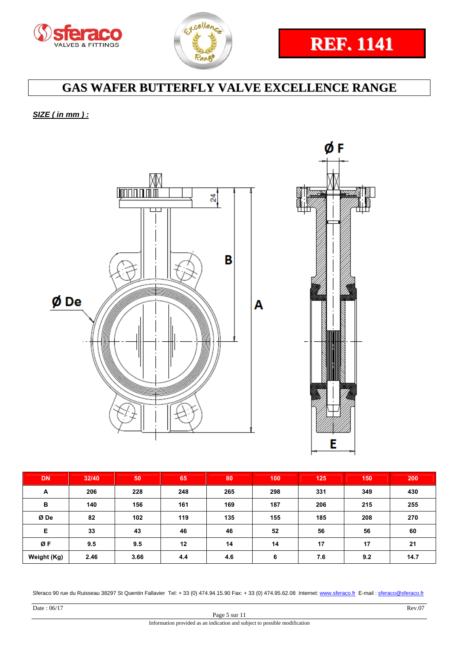



# **REF. 1141**

## **GAS WAFER BUTTERFLY VALVE EXCELLENCE RANGE**

### *SIZE ( in mm ) :*



| <b>DN</b>   | 32/40 | 50   | 65  | 80  | 100 | 125 | 150 | 200  |
|-------------|-------|------|-----|-----|-----|-----|-----|------|
| A           | 206   | 228  | 248 | 265 | 298 | 331 | 349 | 430  |
| B           | 140   | 156  | 161 | 169 | 187 | 206 | 215 | 255  |
| Ø De        | 82    | 102  | 119 | 135 | 155 | 185 | 208 | 270  |
| Е           | 33    | 43   | 46  | 46  | 52  | 56  | 56  | 60   |
| ØF          | 9.5   | 9.5  | 12  | 14  | 14  | 17  | 17  | 21   |
| Weight (Kg) | 2.46  | 3.66 | 4.4 | 4.6 | 6   | 7.6 | 9.2 | 14.7 |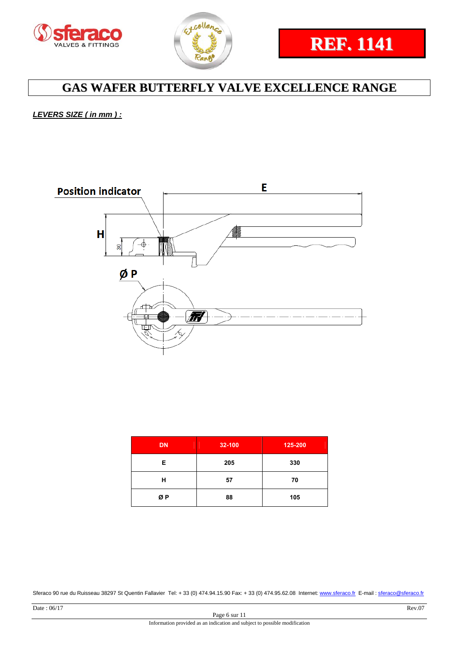



*LEVERS SIZE ( in mm ) :* 



| <b>DN</b> | 32-100 | 125-200 |
|-----------|--------|---------|
| Е         | 205    | 330     |
| н         | 57     | 70      |
| ØΡ        | 88     | 105     |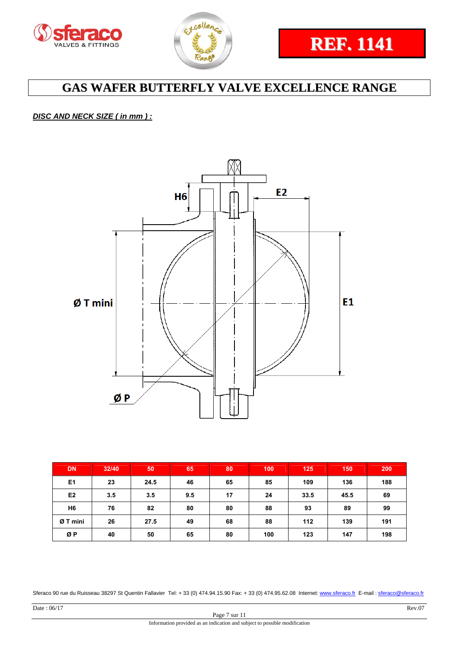



### *DISC AND NECK SIZE ( in mm ) :*



| <b>DN</b>      | 32/40 | 50   | 65  | 80 | 100 | 125  | 150  | 200 |
|----------------|-------|------|-----|----|-----|------|------|-----|
| E <sub>1</sub> | 23    | 24.5 | 46  | 65 | 85  | 109  | 136  | 188 |
| E <sub>2</sub> | 3.5   | 3.5  | 9.5 | 17 | 24  | 33.5 | 45.5 | 69  |
| H <sub>6</sub> | 76    | 82   | 80  | 80 | 88  | 93   | 89   | 99  |
| Ø T mini       | 26    | 27.5 | 49  | 68 | 88  | 112  | 139  | 191 |
| ØP             | 40    | 50   | 65  | 80 | 100 | 123  | 147  | 198 |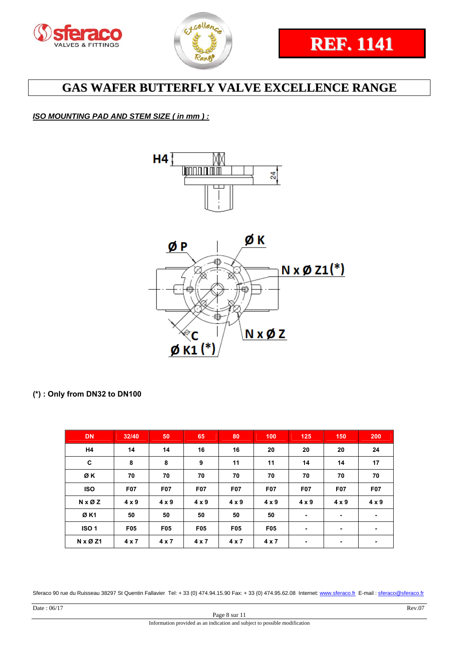



### *ISO MOUNTING PAD AND STEM SIZE ( in mm ) :*



### **(\*) : Only from DN32 to DN100**

| <b>DN</b>   | 32/40        | 50           | 65               | 80           | 100          | 125          | 150          | 200          |
|-------------|--------------|--------------|------------------|--------------|--------------|--------------|--------------|--------------|
| H4          | 14           | 14           | 16               | 16           | 20           | 20           | 20           | 24           |
| C           | 8            | 8            | 9                | 11           | 11           | 14           | 14           | 17           |
| ØK          | 70           | 70           | 70               | 70           | 70           | 70           | 70           | 70           |
| <b>ISO</b>  | <b>F07</b>   | <b>F07</b>   | F <sub>0</sub> 7 | <b>F07</b>   | <b>F07</b>   | <b>F07</b>   | <b>F07</b>   | <b>F07</b>   |
| N x Ø Z     | $4 \times 9$ | $4 \times 9$ | $4 \times 9$     | $4 \times 9$ | $4 \times 9$ | $4 \times 9$ | $4 \times 9$ | $4 \times 9$ |
| ØK1         | 50           | 50           | 50               | 50           | 50           | ۰            | ٠            | ۰            |
| <b>ISO1</b> | <b>F05</b>   | <b>F05</b>   | <b>F05</b>       | <b>F05</b>   | <b>F05</b>   | ۰            | ۰            | ۰            |
| N x Ø Z1    | 4x7          | 4x7          | 4x7              | 4x7          | 4x7          | ۰            | ٠            |              |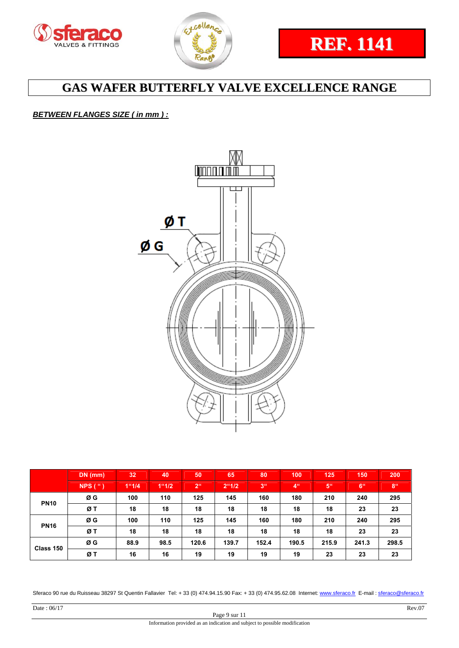



### *BETWEEN FLANGES SIZE ( in mm ) :*



|             | $DN$ (mm)       | 32    | 40    | 50              | 65    | 80             | 100             | 125   | 150             | 200             |
|-------------|-----------------|-------|-------|-----------------|-------|----------------|-----------------|-------|-----------------|-----------------|
|             | $NPS$ ( $\lq$ ) | 1"1/4 | 1"1/2 | 2 <sup>ii</sup> | 2"1/2 | 3 <sup>u</sup> | 4 <sup>ii</sup> | 5"    | 6 <sup>ii</sup> | 8 <sup>ii</sup> |
| <b>PN10</b> | ØG              | 100   | 110   | 125             | 145   | 160            | 180             | 210   | 240             | 295             |
|             | ØT              | 18    | 18    | 18              | 18    | 18             | 18              | 18    | 23              | 23              |
| <b>PN16</b> | ØG              | 100   | 110   | 125             | 145   | 160            | 180             | 210   | 240             | 295             |
|             | ØТ              | 18    | 18    | 18              | 18    | 18             | 18              | 18    | 23              | 23              |
| Class 150   | ØG              | 88.9  | 98.5  | 120.6           | 139.7 | 152.4          | 190.5           | 215.9 | 241.3           | 298.5           |
|             | ØТ              | 16    | 16    | 19              | 19    | 19             | 19              | 23    | 23              | 23              |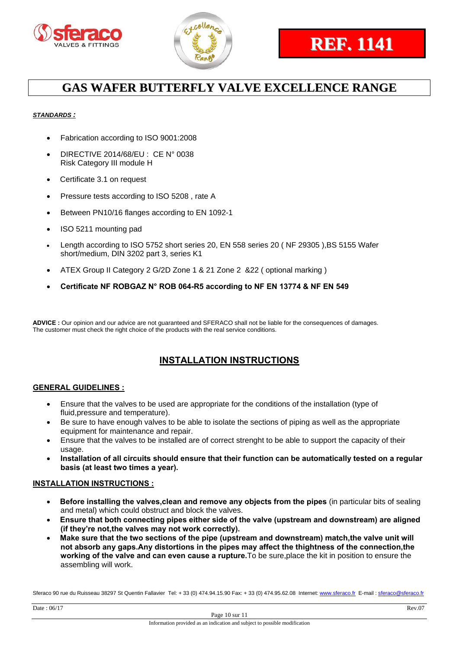



#### *STANDARDS :*

- Fabrication according to ISO 9001:2008
- DIRECTIVE 2014/68/EU : CE N° 0038 Risk Category III module H
- Certificate 3.1 on request
- Pressure tests according to ISO 5208, rate A
- Between PN10/16 flanges according to EN 1092-1
- ISO 5211 mounting pad
- Length according to ISO 5752 short series 20, EN 558 series 20 ( NF 29305 ),BS 5155 Wafer short/medium, DIN 3202 part 3, series K1
- ATEX Group II Category 2 G/2D Zone 1 & 21 Zone 2 &22 ( optional marking )
- **Certificate NF ROBGAZ N° ROB 064-R5 according to NF EN 13774 & NF EN 549**

**ADVICE :** Our opinion and our advice are not guaranteed and SFERACO shall not be liable for the consequences of damages. The customer must check the right choice of the products with the real service conditions.

### **INSTALLATION INSTRUCTIONS**

#### **GENERAL GUIDELINES :**

- Ensure that the valves to be used are appropriate for the conditions of the installation (type of fluid,pressure and temperature).
- Be sure to have enough valves to be able to isolate the sections of piping as well as the appropriate equipment for maintenance and repair.
- Ensure that the valves to be installed are of correct strenght to be able to support the capacity of their usage.
- **Installation of all circuits should ensure that their function can be automatically tested on a regular basis (at least two times a year).**

#### **INSTALLATION INSTRUCTIONS :**

- **Before installing the valves,clean and remove any objects from the pipes** (in particular bits of sealing and metal) which could obstruct and block the valves.
- **Ensure that both connecting pipes either side of the valve (upstream and downstream) are aligned (if they're not,the valves may not work correctly).**
- **Make sure that the two sections of the pipe (upstream and downstream) match,the valve unit will not absorb any gaps.Any distortions in the pipes may affect the thightness of the connection,the working of the valve and can even cause a rupture.**To be sure,place the kit in position to ensure the assembling will work.